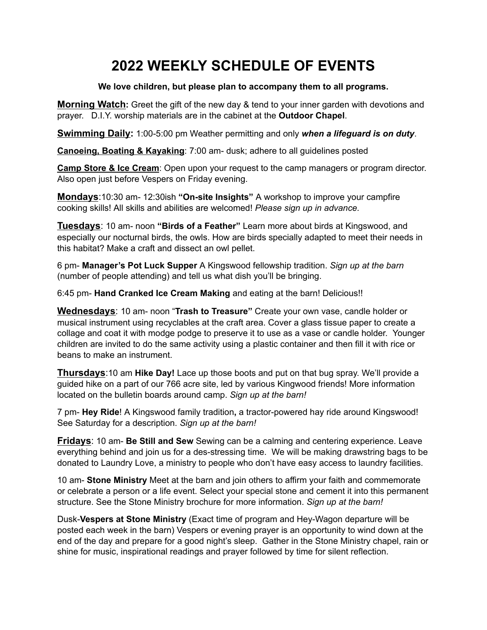## **2022 WEEKLY SCHEDULE OF EVENTS**

## **We love children, but please plan to accompany them to all programs.**

**Morning Watch:** Greet the gift of the new day & tend to your inner garden with devotions and prayer. D.I.Y. worship materials are in the cabinet at the **Outdoor Chapel**.

**Swimming Daily:** 1:00-5:00 pm Weather permitting and only *when a lifeguard is on duty*.

**Canoeing, Boating & Kayaking**: 7:00 am- dusk; adhere to all guidelines posted

**Camp Store & Ice Cream**: Open upon your request to the camp managers or program director. Also open just before Vespers on Friday evening.

**Mondays**:10:30 am- 12:30ish **"On-site Insights"** A workshop to improve your campfire cooking skills! All skills and abilities are welcomed! *Please sign up in advance.*

**Tuesdays**: 10 am- noon **"Birds of a Feather"** Learn more about birds at Kingswood, and especially our nocturnal birds, the owls. How are birds specially adapted to meet their needs in this habitat? Make a craft and dissect an owl pellet.

6 pm- **Manager's Pot Luck Supper** A Kingswood fellowship tradition. *Sign up at the barn* (number of people attending) and tell us what dish you'll be bringing.

6:45 pm- **Hand Cranked Ice Cream Making** and eating at the barn! Delicious!!

**Wednesdays**: 10 am- noon "**Trash to Treasure"** Create your own vase, candle holder or musical instrument using recyclables at the craft area. Cover a glass tissue paper to create a collage and coat it with modge podge to preserve it to use as a vase or candle holder. Younger children are invited to do the same activity using a plastic container and then fill it with rice or beans to make an instrument.

**Thursdays**:10 am **Hike Day!** Lace up those boots and put on that bug spray. We'll provide a guided hike on a part of our 766 acre site, led by various Kingwood friends! More information located on the bulletin boards around camp. *Sign up at the barn!*

7 pm- **Hey Ride**! A Kingswood family tradition**,** a tractor-powered hay ride around Kingswood! See Saturday for a description. *Sign up at the barn!*

**Fridays**: 10 am- **Be Still and Sew** Sewing can be a calming and centering experience. Leave everything behind and join us for a des-stressing time. We will be making drawstring bags to be donated to Laundry Love, a ministry to people who don't have easy access to laundry facilities.

10 am- **Stone Ministry** Meet at the barn and join others to affirm your faith and commemorate or celebrate a person or a life event. Select your special stone and cement it into this permanent structure. See the Stone Ministry brochure for more information. *Sign up at the barn!*

Dusk-**Vespers at Stone Ministry** (Exact time of program and Hey-Wagon departure will be posted each week in the barn) Vespers or evening prayer is an opportunity to wind down at the end of the day and prepare for a good night's sleep. Gather in the Stone Ministry chapel, rain or shine for music, inspirational readings and prayer followed by time for silent reflection.